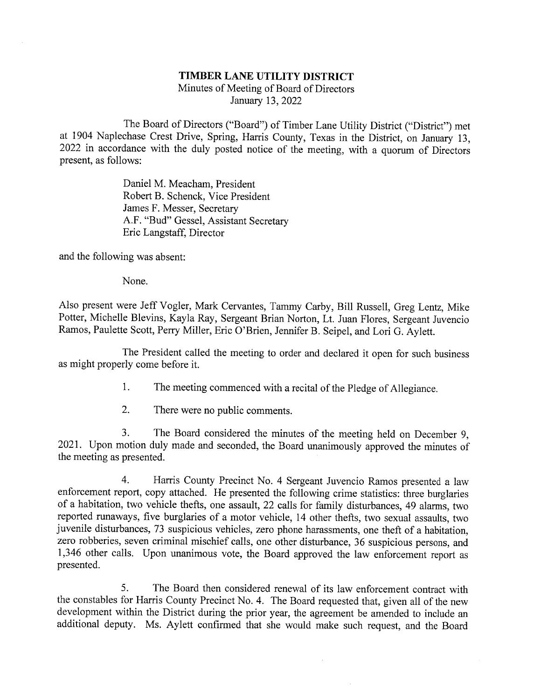## TIMBER LANE UTILITY DISTRICT Minutes of Meeting of Board of Directors January 13, 2022

The Board of Directors ("Board") of Timber Lane Utility District ("District") met<br>at 1904 Naplechase Crest Drive, Spring, Harris County, Texas in the District, on January 13,<br>2022 in accordance with the duly posted notice

Daniel M. Meacham, President Robert B. Schenck, Vice President James F. Messer, Secretary A.F. "Bud" Gessel, Assistant Secretary Eric Langstaff, Director

and the following was absent:

None.

Also present were Jeff Vogler, Mark Cervantes, Tammy Carby, Bill Russell, Greg Lentz, Mike Potter, Michelle Blevins, Kayla Ray, Sergeant Brian Norton, Lt. Juan Flores, Sergeant Juvencio Ramos, Paulette Scott, Perry Miller,

The President called the meeting to order and declared it open for such business as might properly come before it.

- 1. The meeting commenced with a recital of the Pledge of Allegiance.
- 2. There were no public comments.

3. The Board considered the minutes of the meeting held on December 9, 2021. Upon motion duly made and seconded, the Board unanimously approved the minutes of the meeting as presented.

4. Harris County Precinct No. 4 Sergeant Juvencio Ramos presented a law enforcement report, copy attached. He presented the following crime statistics: three burglaries of a habitation, two vehicle thefts, one assault, 22 1,346 other calls. Upon imanimous vote, the Board approved the law enforcement report as presented.

5. The Board then considered renewal of its law enforcement contract with the constables for Harris County Precinct No. 4. The Board requested that, given all of the new development within the District during the prior year, the agreement be amended to include an additional deputy. Ms. Aylett co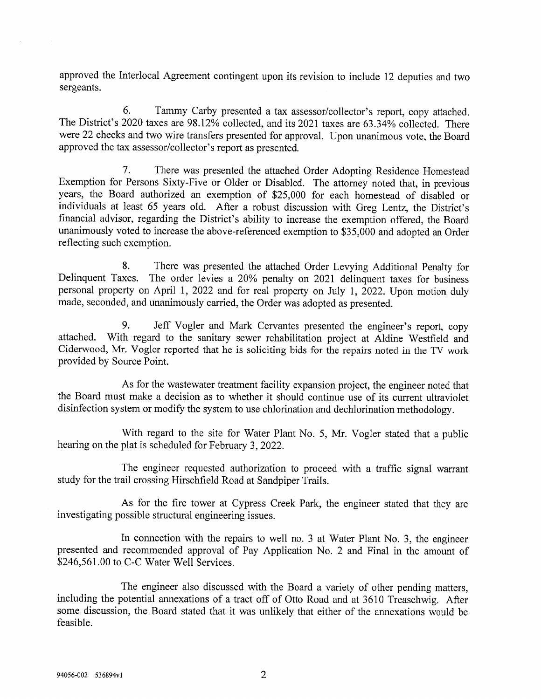approved the Interlocal Agreement contingent upon its revision to include 12 deputies and two sergeants.

6. Tammy Carby presented a tax assessor/collector's report, copy attached. The District's 2020 taxes are 98.12% collected, and its 2021 taxes are 63.34% collected. There were 22 checks and two wire transfers presented for approval. Upon unanimous vote, the Board approved the tax assessor/collector's report as presented.

7. There was presented the attached Order Adopting Residence Homestead Exemption for Persons Sixty-Five or Older or Disabled. The attorney noted that, in previous years, the Board authorized an exemption of \$25,000 for each homestead of disabled or financial advisor, regarding the District's ability to increase the exemption offered, the Board unanimously voted to increase the above-referenced exemption to \$35,000 and adopted an Order reflecting such exemption.

8. There was presented the attached Order Levying Additional Penalty for Delinquent Taxes. The order levies a 20% penalty on 2021 delinquent taxes for business personal property on April 1, 2022 and for real property on July 1, 2022. Upon motion duly made, seconded, and unanimously carried, the Order was adopted as presented.

9. Jeff Vogler and Mark Cervantes presented the engineer's report, copy attached. With regard to the sanitary sewer rehabilitation project at Aldine Westfield and Ciderwood, Mr. Vogler reported that he is soliciting bids for the repairs noted in the TV work provided by Source Point.

As for the wastewater treatment facility expansion project, the engineer noted that the Board must make a decision as to whether it should continue use of its current ultraviolet disinfection system or modify the system to use chlorination and dechlorination methodology.

With regard to the site for Water Plant No. 5, Mr. Vogler stated that a public hearing on the plat is scheduled for February 3, 2022.

The engineer requested authorization to proceed with a traffic signal warrant study for the trail crossing Hirschfield Road at Sandpiper Trails.

As for the fire tower at Cypress Creek Park, the engineer stated that they are investigating possible stmctural engineering issues.

In connection with the repairs to well no. 3 at Water Plant No. 3, the engineer presented and recommended approval of Pay Application No. 2 and Final in the amount of \$246,561.00 to C-C Water Well Services.

The engineer also discussed with the Board a variety of other pending matters,<br>including the potential annexations of a tract off of Otto Road and at 3610 Treaschwig. After<br>some discussion, the Board stated that it was unl feasible.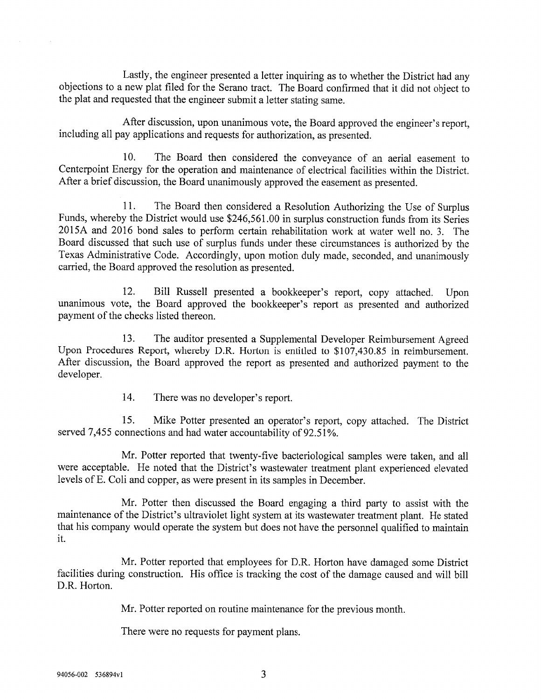Lastly, the engineer presented a letter inquiring as to whether the District had any objections to a new plat filed for the Serano tract. The Board confirmed that it did not object to the plat and requested that the engineer submit a letter stating same.

After discussion, upon unanimous vote, the Board approved the engineer's report, including all pay applications and requests for authorization, as presented.

10. The Board then considered the conveyance of an aerial easement to Centerpoint Energy for the operation and maintenance of electrical facilities within the District. After a brief discussion, the Board unanimously approved the easement as presented.

11. The Board then considered a Resolution Authorizing the Use of Surplus Funds, whereby the District would use \$246,561.00 in surplus construction funds from its Series 2015A and 2016 bond sales to perform certain rehabilitation work at water well no. 3. The Board discussed that such use of surplus funds under these circumstances is authorized by the Texas Administrative Code. Accordingly, upon motion duly made, seconded, and unanimously carried, the Board approved the resolution as presented.

12. Bill Russell presented a bookkeeper's report, copy attached. Upon unanimous vote, the Board approved the bookkeeper's report as presented and authorized payment of the checks listed thereon.

13. The auditor presented a Supplemental Developer Reimbursement Agreed Upon Procedures Report, whereby D.R. Horton is entitled to \$107,430.85 in reimbursement. After discussion, the Board approved the report as presented and authorized payment to the developer.

14. There was no developer's report.

15. Mike Potter presented an operator's report, copy attached. The District served 7,455 connections and had water accountability of 92.51%.

Mr. Potter reported that twenty-five bacteriological samples were taken, and all were acceptable. He noted that the District's wastewater treatment plant experienced elevated levels of E. Coli and copper, as were present in its samples in December.

Mr. Potter then discussed the Board engaging a third party to assist with the maintenance of the District's ultraviolet light system at its wastewater treatment plant. He stated that his company would operate the system but does not have the personnel qualified to maintain it.

Mr. Potter reported that employees for D.R. Horton have damaged some District facilities during construction. His office is tracking the cost of the damage caused and will bill D.R. Horton.

Mr. Potter reported on routine maintenance for the previous month.

There were no requests for payment plans.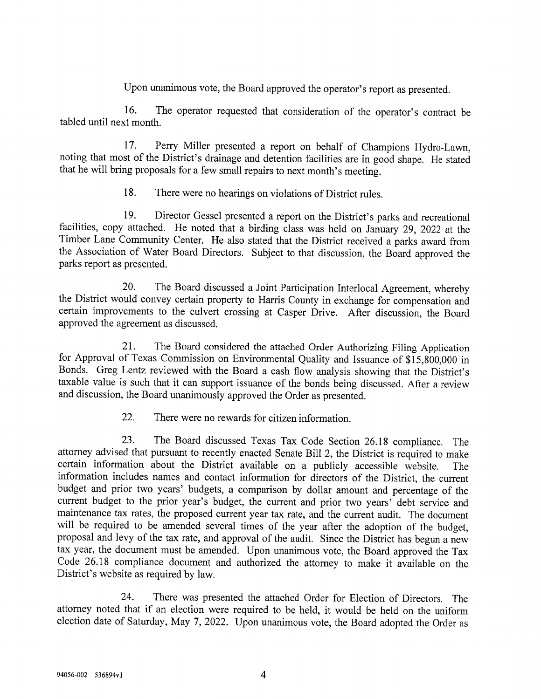Upon unanimous vote, the Board approved the operator's report as presented.

16. The operator requested that consideration of the operator's contract be tabled until next month.

17. Perry Miller presented a report on behalf of Champions Hydro-Lawn, noting that most of the District's drainage and detention facilities are in good shape. He stated that he will bring proposals for a few small repairs

18. There were no hearings on violations of District rules.

19. Director Gessel presented a report on the District's parks and recreational facilities, copy attached. He noted that a birding class was held on January 29, 2022 at the Timber Lane Community Center. He also stated that parks report as presented.

20. The Board discussed a Joint Participation Interlocal Agreement, whereby<br>the District would convey certain property to Harris County in exchange for compensation and<br>certain improvements to the culvert crossing at Caspe

21. The Board considered the attached Order Authorizing Filing Application<br>for Approval of Texas Commission on Environmental Quality and Issuance of \$15,800,000 in<br>Bonds. Greg Lentz reviewed with the Board a cash flow anal

22. There were no rewards for citizen information.

23. The Board discussed Texas Tax Code Section 26.18 compliance. The attorney advised that pursuant to recently enacted Senate Bill 2, the District is required to make certain information about the District available on a current budget to the prior year's budget, the current and prior two years' debt service and<br>maintenance tax rates, the proposed current year tax rate, and the current audit. The document<br>will be required to be amended sev

24. There was presented the attached Order for Election of Directors. The attorney noted that if an election were required to be held, it would be held on the uniform election date of Saturday, May 7, 2022. Upon unanimous